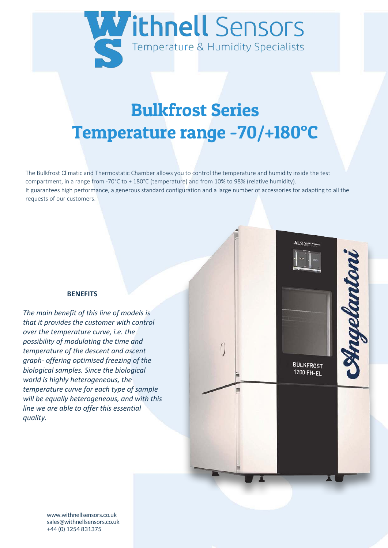

# Bulkfrost Series Temperature range -70/+180°C

The Bulkfrost Climatic and Thermostatic Chamber allows you to control the temperature and humidity inside the test compartment, in a range from -70°C to + 180°C (temperature) and from 10% to 98% (relative humidity). It guarantees high performance, a generous standard configuration and a large number of accessories for adapting to all the requests of our customers.

#### **BENEFITS**

*The main benefit of this line of models is that it provides the customer with control over the temperature curve, i.e. the possibility of modulating the time and temperature of the descent and ascent graph- offering optimised freezing of the biological samples. Since the biological world is highly heterogeneous, the temperature curve for each type of sample will be equally heterogeneous, and with this line we are able to offer this essential quality.* 

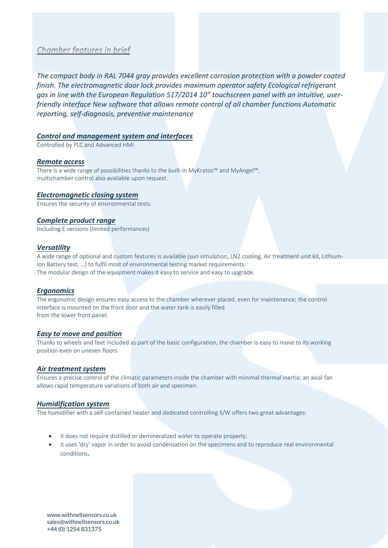# Chamber features in brief

*The compact body in RAL 7044 gray provides excellent corrosion protection with a powder coated finish. The electromagnetic door lock provides maximum operator safety Ecological refrigerant gas in line with the European Regulation 517/2014 10" touchscreen panel with an intuitive, userfriendly interface New software that allows remote control of all chamber functions Automatic reporting, self-diagnosis, preventive maintenance* 

#### *Control and management system and interfaces*

Controlled by PLC and Advanced HMI

#### *Remote access*

There is a wide range of possibilities thanks to the built-in MyKratos™ and MyAngel™, multichamber control also available upon request.

#### *Electromagnetic closing system*

Ensures the security of environmental tests.

#### *Complete product range*

Including E versions (limited performances)

#### *Versatility*

A wide range of optional and custom features is available (sun simulation, LN2 cooling, Air treatment unit kit, Lithium-Ion Battery test, …) to fulfil most of environmental testing market requirements. The modular design of the equipment makes it easy to service and easy to upgrade.

#### *Ergonomics*

The ergonomic design ensures easy access to the chamber wherever placed, even for maintenance; the control interface is mounted on the front door and the water tank is easily filled from the lower front panel.

#### *Easy to move and position*

Thanks to wheels and feet included as part of the basic configuration, the chamber is easy to move to its working position even on uneven floors

#### *Air treatment system*

Ensures a precise control of the climatic parameters inside the chamber with minimal thermal inertia; an axial fan allows rapid temperature variations of both air and specimen.

#### *Humidification system*

The humidifier with a self-contained heater and dedicated controlling S/W offers two great advantages:

- it does not require distilled or demineralized water to operate properly;
- it uses 'dry' vapor in order to avoid condensation on the specimens and to reproduce real environmental conditions.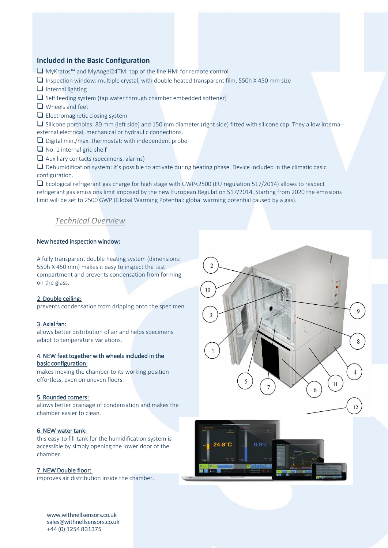# **Included in the Basic Configuration**

- ❑ MyKratos™ and MyAngel24TM: top of the line HMI for remote control
- ❑ Inspection window: multiple crystal, with double heated transparent film, 550h X 450 mm size
- ❑ Internal lighting
- $\Box$  Self feeding system (tap water through chamber embedded softener)
- ❑ Wheels and feet
- $\Box$  Electromagnetic closing system

❑ Silicone portholes: 80 mm (left side) and 150 mm diameter (right side) fitted with silicone cap. They allow internalexternal electrical, mechanical or hydraulic connections.

❑ Digital min./max. thermostat: with independent probe

■ No. 1 internal grid shelf

❑ Auxiliary contacts (specimens, alarms)

❑ Dehumidification system: it's possible to activate during heating phase. Device included in the climatic basic configuration.

❑ Ecological refrigerant gas charge for high stage with GWP<2500 (EU regulation 517/2014) allows to respect refrigerant gas emissions limit imposed by the new European Regulation 517/2014. Starting from 2020 the emissions limit will be set to 2500 GWP (Global Warming Potential: global warming potential caused by a gas).

# **Technical Overview**

#### New heated inspection window:

A fully transparent double heating system (dimensions: 550h X 450 mm) makes it easy to inspect the test compartment and prevents condensation from forming on the glass.

#### 2. Double ceiling:

prevents condensation from dripping onto the specimen.

#### 3. Axial fan:

allows better distribution of air and helps specimens adapt to temperature variations.

#### 4. NEW feet together with wheels included in the basic configuration:

makes moving the chamber to its working position effortless, even on uneven floors.

#### 5. Rounded corners:

allows better drainage of condensation and makes the chamber easier to clean.

#### 6. NEW water tank:

this easy-to fill-tank for the humidification system is accessible by simply opening the lower door of the chamber.

#### 7. NEW Double floor:

improves air distribution inside the chamber.



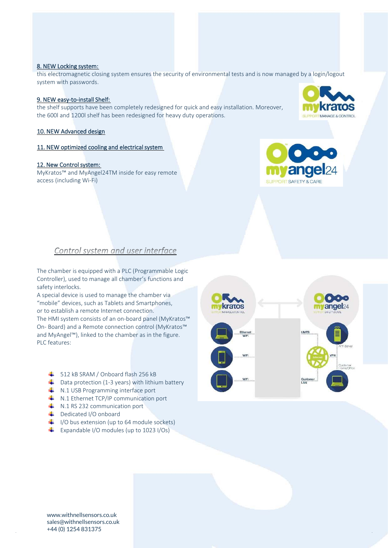#### www.withnellsensors.co.uk sales@withnellsensors.co.uk +44 (0) 1254 831375

# 8. NEW Locking system:

this electromagnetic closing system ensures the security of environmental tests and is now managed by a login/logout system with passwords.

# 9. NEW easy-to-install Shelf:

the shelf supports have been completely redesigned for quick and easy installation. Moreover, the 600l and 1200l shelf has been redesigned for heavy duty operations.

# 10. NEW Advanced design

# 11. NEW optimized cooling and electrical system

# 12. New Control system:

MyKratos™ and MyAngel24TM inside for easy remote access (including Wi-Fi)

# Control system and user interface

The chamber is equipped with a PLC (Programmable Logic Controller), used to manage all chamber's functions and safety interlocks.

A special device is used to manage the chamber via "mobile" devices, such as Tablets and Smartphones, or to establish a remote Internet connection.

The HMI system consists of an on-board panel (MyKratos™ On- Board) and a Remote connection control (MyKratos™ and MyAngel™), linked to the chamber as in the figure. PLC features:

- $\frac{1}{2}$  512 kB SRAM / Onboard flash 256 kB
- $\downarrow$  Data protection (1-3 years) with lithium battery
- $\downarrow$  N.1 USB Programming interface port
- $\downarrow$  N.1 Ethernet TCP/IP communication port
- $\textcolor{red}{\bullet}$  N.1 RS 232 communication port
- Dedicated I/O onboard
- $\downarrow$  I/O bus extension (up to 64 module sockets)
- Expandable I/O modules (up to 1023 I/Os)





angel<sub>24</sub>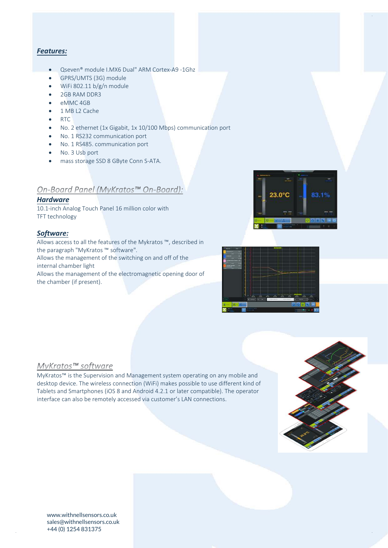# *Features:*

- Qseven® module I.MX6 Dual" ARM Cortex-A9 -1Ghz
- GPRS/UMTS (3G) module
- WiFi 802.11 b/g/n module
- 2GB RAM DDR3
- eMMC 4GB
- 1 MB L2 Cache
- RTC
- No. 2 ethernet (1x Gigabit, 1x 10/100 Mbps) communication port
- No. 1 RS232 communication port
- No. 1 RS485. communication port
- No. 3 Usb port
- mass storage SSD 8 GByte Conn S-ATA.

# On-Board Panel (MyKratos™ On-Board):

#### *Hardware*

10.1-inch Analog Touch Panel 16 million color with TFT technology

# *Software:*

Allows access to all the features of the Mykratos ™, described in the paragraph "MyKratos ™ software". Allows the management of the switching on and off of the internal chamber light Allows the management of the electromagnetic opening door of the chamber (if present).





#### MyKratos™ software

MyKratos™ is the Supervision and Management system operating on any mobile and desktop device. The wireless connection (WiFi) makes possible to use different kind of Tablets and Smartphones (iOS 8 and Android 4.2.1 or later compatible). The operator interface can also be remotely accessed via customer's LAN connections.

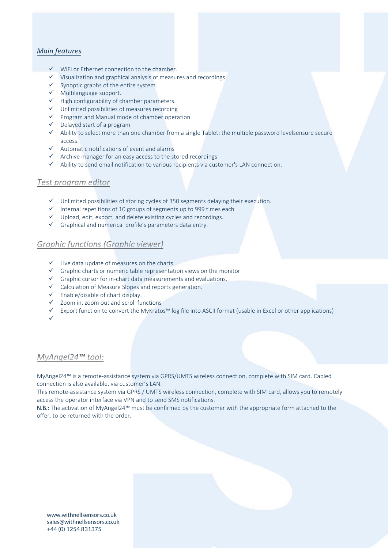# *Main features*

- ✓ WiFi or Ethernet connection to the chamber.
- ✓ Visualization and graphical analysis of measures and recordings.
- $\checkmark$  Synoptic graphs of the entire system.
- ✓ Multilanguage support.
- ✓ High configurability of chamber parameters.
- ✓ Unlimited possibilities of measures recording
- ✓ Program and Manual mode of chamber operation
- ✓ Delayed start of a program
- $\checkmark$  Ability to select more than one chamber from a single Tablet: the multiple password levelsensure secure access
- $\checkmark$  Automatic notifications of event and alarms
- ✓ Archive manager for an easy access to the stored recordings
- $\checkmark$  Ability to send email notification to various recipients via customer's LAN connection.

# Test program editor

- ✓ Unlimited possibilities of storing cycles of 350 segments delaying their execution.
- ✓ Internal repetitions of 10 groups of segments up to 999 times each
- $\checkmark$  Upload, edit, export, and delete existing cycles and recordings.
- ✓ Graphical and numerical profile's parameters data entry.

# **Graphic functions (Graphic viewer)**

- ✓ Live data update of measures on the charts
- $\checkmark$  Graphic charts or numeric table representation views on the monitor
- ✓ Graphic cursor for in-chart data measurements and evaluations.
- ✓ Calculation of Measure Slopes and reports generation.
- ✓ Enable/disable of chart display.
- ✓ Zoom in, zoom out and scroll functions
- ✓ Export function to convert the MyKratos™ log file into ASCII format (usable in Excel or other applications)
- ✓

# MyAngel24™ tool:

MyAngel24™ is a remote-assistance system via GPRS/UMTS wireless connection, complete with SIM card. Cabled connection is also available, via customer's LAN.

This remote-assistance system via GPRS / UMTS wireless connection, complete with SIM card, allows you to remotely access the operator interface via VPN and to send SMS notifications.

N.B.: The activation of MyAngel24™ must be confirmed by the customer with the appropriate form attached to the offer, to be returned with the order.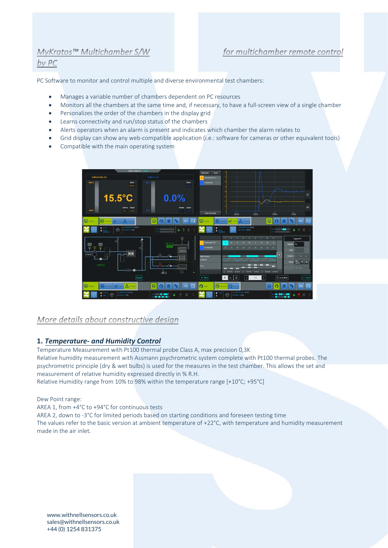# MyKratos™ Multichamber S/W

# $bv$   $PC$

# for multichamber remote control

PC Software to monitor and control multiple and diverse environmental test chambers:

- Manages a variable number of chambers dependent on PC resources
- Monitors all the chambers at the same time and, if necessary, to have a full-screen view of a single chamber
- Personalizes the order of the chambers in the display grid
- Learns connectivity and run/stop status of the chambers
- Alerts operators when an alarm is present and indicates which chamber the alarm relates to
- Grid display can show any web-compatible application (i.e.: software for cameras or other equivalent tools)
- Compatible with the main operating system



# More details about constructive design

# **1.** *Temperature- and Humidity Control*

Temperature Measurement with Pt100 thermal probe Class A, max precision 0,3K Relative humidity measurement with Assmann psychrometric system complete with Pt100 thermal probes. The psychrometric principle (dry & wet bulbs) is used for the measures in the test chamber. This allows the set and measurement of relative humidity expressed directly in % R.H.

Relative Humidity range from 10% to 98% within the temperature range [+10°C; +95°C]

Dew Point range:

AREA 1, from +4°C to +94°C for continuous tests

AREA 2, down to -3°C for limited periods based on starting conditions and foreseen testing time The values refer to the basic version at ambient temperature of +22°C, with temperature and humidity measurement made in the air inlet.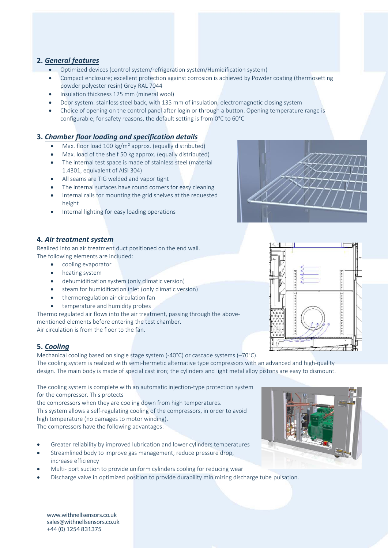# **2.** *General features*

- Optimized devices (control system/refrigeration system/Humidification system)
- Compact enclosure; excellent protection against corrosion is achieved by Powder coating (thermosetting powder polyester resin) Grey RAL 7044
- Insulation thickness 125 mm (mineral wool)
- Door system: stainless steel back, with 135 mm of insulation, electromagnetic closing system
- Choice of opening on the control panel after login or through a button. Opening temperature range is configurable; for safety reasons, the default setting is from 0°C to 60°C

# **3.** *Chamber floor loading and specification details*

- Max. floor load 100 kg/m<sup>2</sup> approx. (equally distributed)
- Max. load of the shelf 50 kg approx. (equally distributed)
- The internal test space is made of stainless steel (material 1.4301, equivalent of AISI 304)
- All seams are TIG welded and vapor tight
- The internal surfaces have round corners for easy cleaning
- Internal rails for mounting the grid shelves at the requested height
- Internal lighting for easy loading operations

#### **4.** *Air treatment system*

Realized into an air treatment duct positioned on the end wall. The following elements are included:

- cooling evaporator
- heating system
- dehumidification system (only climatic version)
- steam for humidification inlet (only climatic version)
- thermoregulation air circulation fan
- temperature and humidity probes

Thermo regulated air flows into the air treatment, passing through the abovementioned elements before entering the test chamber.

Air circulation is from the floor to the fan.

# **5.** *Cooling*

Mechanical cooling based on single stage system (-40°C) or cascade systems (–70°C). The cooling system is realized with semi-hermetic alternative type compressors with an advanced and high-quality design. The main body is made of special cast iron; the cylinders and light metal alloy pistons are easy to dismount.

The cooling system is complete with an automatic injection-type protection system for the compressor. This protects

the compressors when they are cooling down from high temperatures.

This system allows a self-regulating cooling of the compressors, in order to avoid high temperature (no damages to motor winding).

The compressors have the following advantages:

- Greater reliability by improved lubrication and lower cylinders temperatures
- Streamlined body to improve gas management, reduce pressure drop, increase efficiency
- Multi- port suction to provide uniform cylinders cooling for reducing wear
- Discharge valve in optimized position to provide durability minimizing discharge tube pulsation.





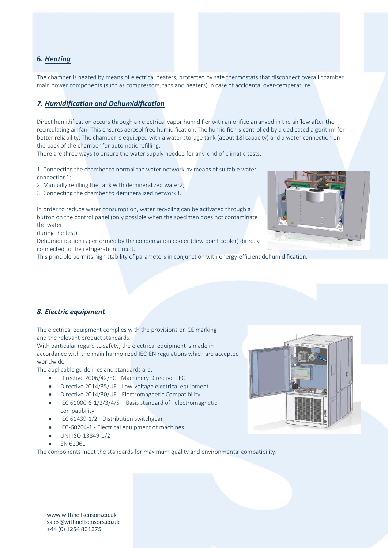# **6.** *Heating*

The chamber is heated by means of electrical heaters, protected by safe thermostats that disconnect overall chamber main power components (such as compressors, fans and heaters) in case of accidental over-temperature.

# *7. Humidification and Dehumidification*

Direct humidification occurs through an electrical vapor humidifier with an orifice arranged in the airflow after the recirculating air fan. This ensures aerosol free humidification. The humidifier is controlled by a dedicated algorithm for better reliability. The chamber is equipped with a water storage tank (about 18l capacity) and a water connection on the back of the chamber for automatic refilling.

There are three ways to ensure the water supply needed for any kind of climatic tests:

1. Connecting the chamber to normal tap water network by means of suitable water connection1;

2. Manually refilling the tank with demineralized water2;

3. Connecting the chamber to demineralized network3.

In order to reduce water consumption, water recycling can be activated through a button on the control panel (only possible when the specimen does not contaminate the water

during the test).

Dehumidification is performed by the condensation cooler (dew point cooler) directly connected to the refrigeration circuit.

This principle permits high stability of parameters in conjunction with energy-efficient dehumidification.



The electrical equipment complies with the provisions on CE marking and the relevant product standards.

With particular regard to safety, the electrical equipment is made in accordance with the main harmonized IEC-EN regulations which are accepted worldwide.

The applicable guidelines and standards are:

- Directive 2006/42/EC Machinery Directive EC
- Directive 2014/35/UE Low-voltage electrical equipment
- Directive 2014/30/UE Electromagnetic Compatibility
- IEC 61000-6-1/2/3/4/5 Basis standard of electromagnetic compatibility
- IEC 61439-1/2 Distribution switchgear
- IEC-60204-1 Electrical equipment of machines
- UNI-ISO-13849-1/2
- EN 62061

The components meet the standards for maximum quality and environmental compatibility.





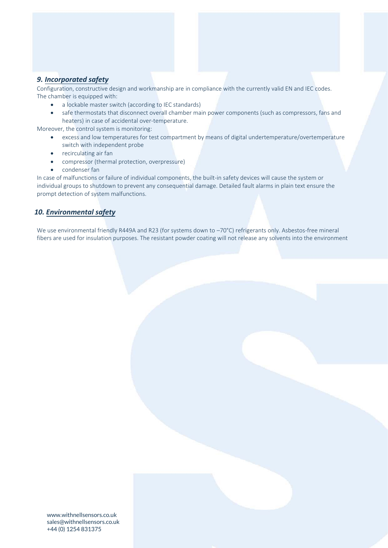# *9. Incorporated safety*

Configuration, constructive design and workmanship are in compliance with the currently valid EN and IEC codes. The chamber is equipped with:

- a lockable master switch (according to IEC standards)
- safe thermostats that disconnect overall chamber main power components (such as compressors, fans and heaters) in case of accidental over-temperature.

Moreover, the control system is monitoring:

- excess and low temperatures for test compartment by means of digital undertemperature/overtemperature switch with independent probe
- recirculating air fan
- compressor (thermal protection, overpressure)
- condenser fan

In case of malfunctions or failure of individual components, the built-in safety devices will cause the system or individual groups to shutdown to prevent any consequential damage. Detailed fault alarms in plain text ensure the prompt detection of system malfunctions.

## *10. Environmental safety*

We use environmental friendly R449A and R23 (for systems down to -70°C) refrigerants only. Asbestos-free mineral fibers are used for insulation purposes. The resistant powder coating will not release any solvents into the environment